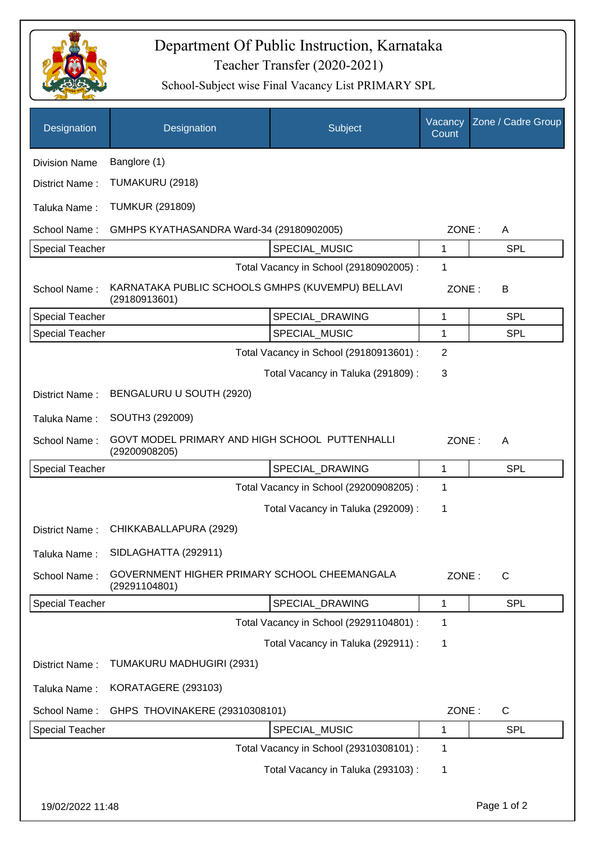

## Teacher Transfer (2020-2021) Department Of Public Instruction, Karnataka

School-Subject wise Final Vacancy List PRIMARY SPL

| Designation            | Designation                                                                   | Subject                                 | Vacancy<br>Count | Zone / Cadre Group    |  |
|------------------------|-------------------------------------------------------------------------------|-----------------------------------------|------------------|-----------------------|--|
| <b>Division Name</b>   | Banglore (1)                                                                  |                                         |                  |                       |  |
| District Name:         | TUMAKURU (2918)                                                               |                                         |                  |                       |  |
| Taluka Name:           | <b>TUMKUR (291809)</b>                                                        |                                         |                  |                       |  |
| School Name:           | GMHPS KYATHASANDRA Ward-34 (29180902005)                                      |                                         | ZONE:            | A                     |  |
| <b>Special Teacher</b> |                                                                               | SPECIAL_MUSIC                           | 1                | <b>SPL</b>            |  |
|                        |                                                                               | Total Vacancy in School (29180902005) : | 1                |                       |  |
| School Name:           | KARNATAKA PUBLIC SCHOOLS GMHPS (KUVEMPU) BELLAVI<br>(29180913601)             |                                         |                  | ZONE:<br>B            |  |
| <b>Special Teacher</b> |                                                                               | SPECIAL_DRAWING                         | 1                | <b>SPL</b>            |  |
| <b>Special Teacher</b> |                                                                               | SPECIAL_MUSIC                           | 1                | <b>SPL</b>            |  |
|                        |                                                                               | Total Vacancy in School (29180913601) : | $\overline{2}$   |                       |  |
|                        |                                                                               | Total Vacancy in Taluka (291809) :      | 3                |                       |  |
| District Name:         | BENGALURU U SOUTH (2920)                                                      |                                         |                  |                       |  |
| Taluka Name:           | SOUTH3 (292009)                                                               |                                         |                  |                       |  |
| School Name:           | GOVT MODEL PRIMARY AND HIGH SCHOOL PUTTENHALLI<br>ZONE:<br>A<br>(29200908205) |                                         |                  |                       |  |
| <b>Special Teacher</b> |                                                                               | SPECIAL_DRAWING                         | 1                | <b>SPL</b>            |  |
|                        |                                                                               | Total Vacancy in School (29200908205) : | 1                |                       |  |
|                        |                                                                               | Total Vacancy in Taluka (292009) :      | 1                |                       |  |
| District Name:         | CHIKKABALLAPURA (2929)                                                        |                                         |                  |                       |  |
| Taluka Name:           | SIDLAGHATTA (292911)                                                          |                                         |                  |                       |  |
| School Name:           | GOVERNMENT HIGHER PRIMARY SCHOOL CHEEMANGALA<br>(29291104801)                 |                                         |                  | ZONE:<br>$\mathsf{C}$ |  |
| <b>Special Teacher</b> |                                                                               | SPECIAL_DRAWING                         | 1                | <b>SPL</b>            |  |
|                        |                                                                               | Total Vacancy in School (29291104801) : | 1                |                       |  |
|                        |                                                                               | Total Vacancy in Taluka (292911) :      | 1                |                       |  |
| District Name:         | TUMAKURU MADHUGIRI (2931)                                                     |                                         |                  |                       |  |
| Taluka Name:           | KORATAGERE (293103)                                                           |                                         |                  |                       |  |
| School Name:           | GHPS THOVINAKERE (29310308101)                                                |                                         | ZONE:            | $\mathsf{C}$          |  |
| <b>Special Teacher</b> |                                                                               | SPECIAL_MUSIC                           | 1                | <b>SPL</b>            |  |
|                        |                                                                               | Total Vacancy in School (29310308101) : | 1                |                       |  |
|                        |                                                                               | Total Vacancy in Taluka (293103):       | 1                |                       |  |
| 19/02/2022 11:48       |                                                                               |                                         |                  | Page 1 of 2           |  |